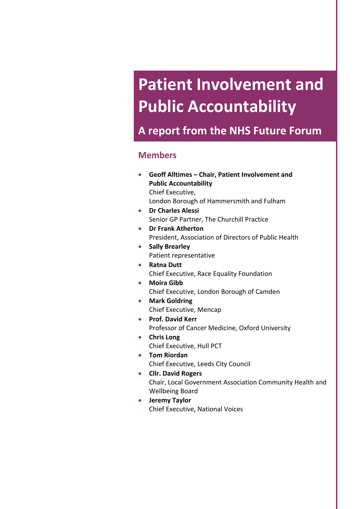# **Patient Involvement and Public Accountability**

**A report from the NHS Future Forum**

### **Members**

- **Geoff Alltimes – Chair, Patient Involvement and Public Accountability** Chief Executive, London Borough of Hammersmith and Fulham
- **Dr Charles Alessi** Senior GP Partner, The Churchill Practice
- **Dr Frank Atherton** President, Association of Directors of Public Health
- **Sally Brearley** Patient representative
- **Ratna Dutt** Chief Executive, Race Equality Foundation
- **Moira Gibb** Chief Executive, London Borough of Camden
- **Mark Goldring** Chief Executive, Mencap
- **Prof. David Kerr** Professor of Cancer Medicine, Oxford University
- **Chris Long** Chief Executive, Hull PCT
- **Tom Riordan** Chief Executive, Leeds City Council
- **Cllr. David Rogers** Chair, Local Government Association Community Health and Wellbeing Board
- **Jeremy Taylor** Chief Executive, National Voices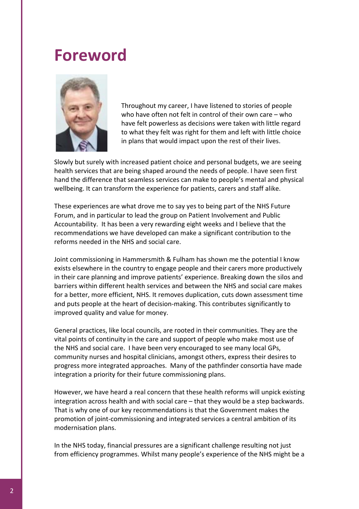# **Foreword**



Throughout my career, I have listened to stories of people who have often not felt in control of their own care – who have felt powerless as decisions were taken with little regard to what they felt was right for them and left with little choice in plans that would impact upon the rest of their lives.

Slowly but surely with increased patient choice and personal budgets, we are seeing health services that are being shaped around the needs of people. I have seen first hand the difference that seamless services can make to people's mental and physical wellbeing. It can transform the experience for patients, carers and staff alike.

These experiences are what drove me to say yes to being part of the NHS Future Forum, and in particular to lead the group on Patient Involvement and Public Accountability. It has been a very rewarding eight weeks and I believe that the recommendations we have developed can make a significant contribution to the reforms needed in the NHS and social care.

Joint commissioning in Hammersmith & Fulham has shown me the potential I know exists elsewhere in the country to engage people and their carers more productively in their care planning and improve patients' experience. Breaking down the silos and barriers within different health services and between the NHS and social care makes for a better, more efficient, NHS. It removes duplication, cuts down assessment time and puts people at the heart of decision-making. This contributes significantly to improved quality and value for money.

General practices, like local councils, are rooted in their communities. They are the vital points of continuity in the care and support of people who make most use of the NHS and social care. I have been very encouraged to see many local GPs, community nurses and hospital clinicians, amongst others, express their desires to progress more integrated approaches. Many of the pathfinder consortia have made integration a priority for their future commissioning plans.

However, we have heard a real concern that these health reforms will unpick existing integration across health and with social care – that they would be a step backwards. That is why one of our key recommendations is that the Government makes the promotion of joint‐commissioning and integrated services a central ambition of its modernisation plans.

In the NHS today, financial pressures are a significant challenge resulting not just from efficiency programmes. Whilst many people's experience of the NHS might be a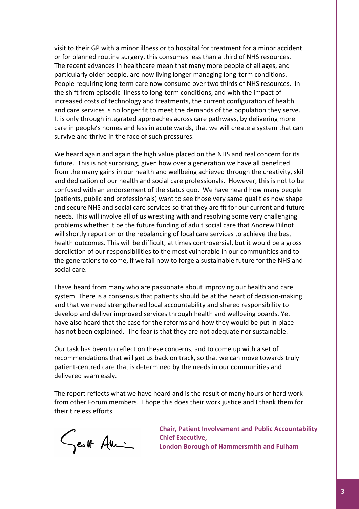visit to their GP with a minor illness or to hospital for treatment for a minor accident or for planned routine surgery, this consumes less than a third of NHS resources. The recent advances in healthcare mean that many more people of all ages, and particularly older people, are now living longer managing long‐term conditions. People requiring long-term care now consume over two thirds of NHS resources. In the shift from episodic illness to long‐term conditions, and with the impact of increased costs of technology and treatments, the current configuration of health and care services is no longer fit to meet the demands of the population they serve. It is only through integrated approaches across care pathways, by delivering more care in people's homes and less in acute wards, that we will create a system that can survive and thrive in the face of such pressures.

We heard again and again the high value placed on the NHS and real concern for its future. This is not surprising, given how over a generation we have all benefited from the many gains in our health and wellbeing achieved through the creativity, skill and dedication of our health and social care professionals. However, this is not to be confused with an endorsement of the status quo. We have heard how many people (patients, public and professionals) want to see those very same qualities now shape and secure NHS and social care services so that they are fit for our current and future needs. This will involve all of us wrestling with and resolving some very challenging problems whether it be the future funding of adult social care that Andrew Dilnot will shortly report on or the rebalancing of local care services to achieve the best health outcomes. This will be difficult, at times controversial, but it would be a gross dereliction of our responsibilities to the most vulnerable in our communities and to the generations to come, if we fail now to forge a sustainable future for the NHS and social care.

I have heard from many who are passionate about improving our health and care system. There is a consensus that patients should be at the heart of decision-making and that we need strengthened local accountability and shared responsibility to develop and deliver improved services through health and wellbeing boards. Yet I have also heard that the case for the reforms and how they would be put in place has not been explained. The fear is that they are not adequate nor sustainable.

Our task has been to reflect on these concerns, and to come up with a set of recommendations that will get us back on track, so that we can move towards truly patient‐centred care that is determined by the needs in our communities and delivered seamlessly.

The report reflects what we have heard and is the result of many hours of hard work from other Forum members. I hope this does their work justice and I thank them for their tireless efforts.

Sentt Ami

**Chair, Patient Involvement and Public Accountability Chief Executive, London Borough of Hammersmith and Fulham**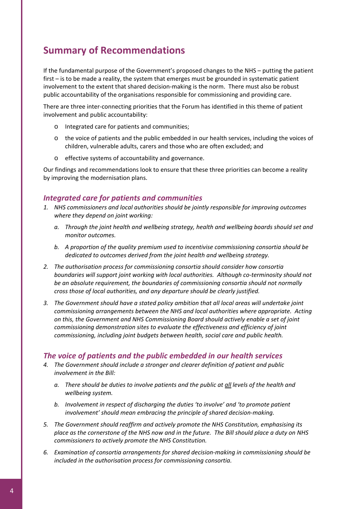# **Summary of Recommendations**

If the fundamental purpose of the Government's proposed changes to the NHS – putting the patient first – is to be made a reality, the system that emerges must be grounded in systematic patient involvement to the extent that shared decision-making is the norm. There must also be robust public accountability of the organisations responsible for commissioning and providing care.

There are three inter-connecting priorities that the Forum has identified in this theme of patient involvement and public accountability:

- o Integrated care for patients and communities;
- o the voice of patients and the public embedded in our health services, including the voices of children, vulnerable adults, carers and those who are often excluded; and
- o effective systems of accountability and governance.

Our findings and recommendations look to ensure that these three priorities can become a reality by improving the modernisation plans.

#### *Integrated care for patients and communities*

- *1. NHS commissioners and local authorities should be jointly responsible for improving outcomes where they depend on joint working:*
	- *a. Through the joint health and wellbeing strategy, health and wellbeing boards should set and monitor outcomes.*
	- *b. A proportion of the quality premium used to incentivise commissioning consortia should be dedicated to outcomes derived from the joint health and wellbeing strategy.*
- *2. The authorisation process for commissioning consortia should consider how consortia boundaries will support joint working with local authorities. Although co‐terminosity should not be an absolute requirement, the boundaries of commissioning consortia should not normally cross those of local authorities, and any departure should be clearly justified.*
- *3. The Government should have a stated policy ambition that all local areas will undertake joint commissioning arrangements between the NHS and local authorities where appropriate. Acting on this, the Government and NHS Commissioning Board should actively enable a set of joint commissioning demonstration sites to evaluate the effectiveness and efficiency of joint commissioning, including joint budgets between health, social care and public health.*

#### *The voice of patients and the public embedded in our health services*

- *4. The Government should include a stronger and clearer definition of patient and public involvement in the Bill:* 
	- *a. There should be duties to involve patients and the public at all levels of the health and wellbeing system.*
	- *b. Involvement in respect of discharging the duties 'to involve' and 'to promote patient involvement' should mean embracing the principle of shared decision‐making.*
- *5. The Government should reaffirm and actively promote the NHS Constitution, emphasising its* place as the cornerstone of the NHS now and in the future. The Bill should place a duty on NHS *commissioners to actively promote the NHS Constitution.*
- *6. Examination of consortia arrangements for shared decision‐making in commissioning should be included in the authorisation process for commissioning consortia.*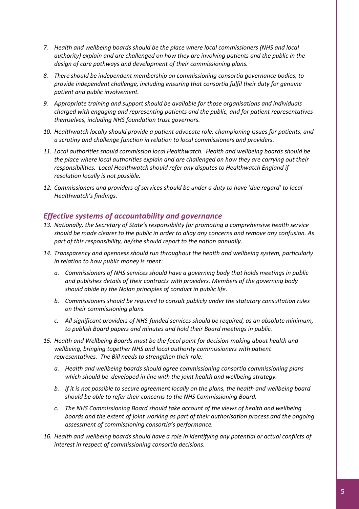- *7. Health and wellbeing boards should be the place where local commissioners (NHS and local authority) explain and are challenged on how they are involving patients and the public in the design of care pathways and development of their commissioning plans.*
- *8. There should be independent membership on commissioning consortia governance bodies, to provide independent challenge, including ensuring that consortia fulfil their duty for genuine patient and public involvement.*
- *9. Appropriate training and support should be available for those organisations and individuals charged with engaging and representing patients and the public, and for patient representatives themselves, including NHS foundation trust governors.*
- *10. Healthwatch locally should provide a patient advocate role, championing issues for patients, and a scrutiny and challenge function in relation to local commissioners and providers.*
- *11. Local authorities should commission local Healthwatch. Health and wellbeing boards should be the place where local authorities explain and are challenged on how they are carrying out their responsibilities. Local Healthwatch should refer any disputes to Healthwatch England if resolution locally is not possible.*
- *12. Commissioners and providers of services should be under a duty to have 'due regard' to local Healthwatch's findings.*

#### *Effective systems of accountability and governance*

- *13. Nationally, the Secretary of State's responsibility for promoting a comprehensive health service should be made clearer to the public in order to allay any concerns and remove any confusion. As part of this responsibility, he/she should report to the nation annually.*
- *14. Transparency and openness should run throughout the health and wellbeing system, particularly in relation to how public money is spent:* 
	- *a. Commissioners of NHS services should have a governing body that holds meetings in public and publishes details of their contracts with providers. Members of the governing body should abide by the Nolan principles of conduct in public life.*
	- *b. Commissioners should be required to consult publicly under the statutory consultation rules on their commissioning plans.*
	- *c. All significant providers of NHS‐funded services should be required, as an absolute minimum, to publish Board papers and minutes and hold their Board meetings in public.*
- *15. Health and Wellbeing Boards must be the focal point for decision‐making about health and wellbeing, bringing together NHS and local authority commissioners with patient representatives. The Bill needs to strengthen their role:* 
	- *a. Health and wellbeing boards should agree commissioning consortia commissioning plans which should be developed in line with the joint health and wellbeing strategy.*
	- *b. If it is not possible to secure agreement locally on the plans, the health and wellbeing board should be able to refer their concerns to the NHS Commissioning Board.*
	- *c. The NHS Commissioning Board should take account of the views of health and wellbeing boards and the extent of joint working as part of their authorisation process and the ongoing assessment of commissioning consortia's performance.*
- *16. Health and wellbeing boards should have a role in identifying any potential or actual conflicts of interest in respect of commissioning consortia decisions.*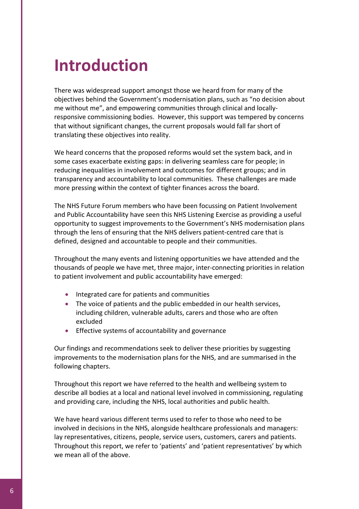# **Introduction**

There was widespread support amongst those we heard from for many of the objectives behind the Government's modernisation plans, such as "no decision about me without me", and empowering communities through clinical and locallyresponsive commissioning bodies. However, this support was tempered by concerns that without significant changes, the current proposals would fall far short of translating these objectives into reality.

We heard concerns that the proposed reforms would set the system back, and in some cases exacerbate existing gaps: in delivering seamless care for people; in reducing inequalities in involvement and outcomes for different groups; and in transparency and accountability to local communities. These challenges are made more pressing within the context of tighter finances across the board.

The NHS Future Forum members who have been focussing on Patient Involvement and Public Accountability have seen this NHS Listening Exercise as providing a useful opportunity to suggest improvements to the Government's NHS modernisation plans through the lens of ensuring that the NHS delivers patient‐centred care that is defined, designed and accountable to people and their communities.

Throughout the many events and listening opportunities we have attended and the thousands of people we have met, three major, inter‐connecting priorities in relation to patient involvement and public accountability have emerged:

- Integrated care for patients and communities
- The voice of patients and the public embedded in our health services, including children, vulnerable adults, carers and those who are often excluded
- Effective systems of accountability and governance

Our findings and recommendations seek to deliver these priorities by suggesting improvements to the modernisation plans for the NHS, and are summarised in the following chapters.

Throughout this report we have referred to the health and wellbeing system to describe all bodies at a local and national level involved in commissioning, regulating and providing care, including the NHS, local authorities and public health.

We have heard various different terms used to refer to those who need to be involved in decisions in the NHS, alongside healthcare professionals and managers: lay representatives, citizens, people, service users, customers, carers and patients. Throughout this report, we refer to 'patients' and 'patient representatives' by which we mean all of the above.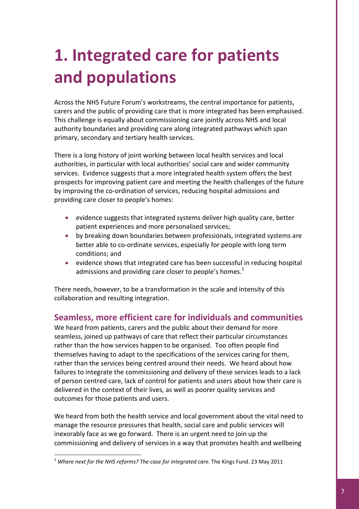# **1. Integrated care for patients and populations**

Across the NHS Future Forum's workstreams, the central importance for patients, carers and the public of providing care that is more integrated has been emphasised. This challenge is equally about commissioning care jointly across NHS and local authority boundaries and providing care along integrated pathways which span primary, secondary and tertiary health services.

There is a long history of joint working between local health services and local authorities, in particular with local authorities' social care and wider community services. Evidence suggests that a more integrated health system offers the best prospects for improving patient care and meeting the health challenges of the future by improving the co‐ordination of services, reducing hospital admissions and providing care closer to people's homes:

- evidence suggests that integrated systems deliver high quality care, better patient experiences and more personalised services;
- by breaking down boundaries between professionals, integrated systems are better able to co-ordinate services, especially for people with long term conditions; and
- evidence shows that integrated care has been successful in reducing hospital admissions and providing care closer to people's homes. $<sup>1</sup>$  $<sup>1</sup>$  $<sup>1</sup>$ </sup>

There needs, however, to be a transformation in the scale and intensity of this collaboration and resulting integration.

# **Seamless, more efficient care for individuals and communities**

We heard from patients, carers and the public about their demand for more seamless, joined up pathways of care that reflect their particular circumstances rather than the how services happen to be organised. Too often people find themselves having to adapt to the specifications of the services caring for them, rather than the services being centred around their needs. We heard about how failures to integrate the commissioning and delivery of these services leads to a lack of person centred care, lack of control for patients and users about how their care is delivered in the context of their lives, as well as poorer quality services and outcomes for those patients and users.

We heard from both the health service and local government about the vital need to manage the resource pressures that health, social care and public services will inexorably face as we go forward. There is an urgent need to join up the commissioning and delivery of services in a way that promotes health and wellbeing

<span id="page-6-0"></span><sup>1</sup> *Where next for the NHS reforms? The case for integrated care.* The Kings Fund. 23 May 2011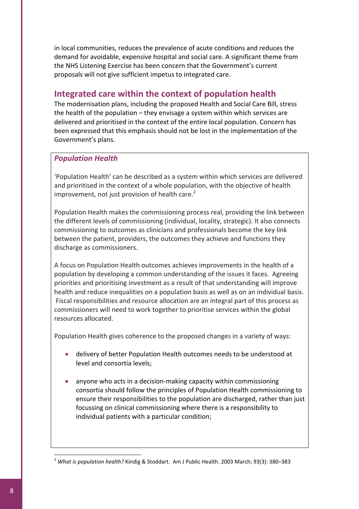in local communities, reduces the prevalence of acute conditions and reduces the demand for avoidable, expensive hospital and social care. A significant theme from the NHS Listening Exercise has been concern that the Government's current proposals will not give sufficient impetus to integrated care.

# **Integrated care within the context of population health**

The modernisation plans, including the proposed Health and Social Care Bill, stress the health of the population – they envisage a system within which services are delivered and prioritised in the context of the entire local population. Concern has been expressed that this emphasis should not be lost in the implementation of the Government's plans.

#### *Population Health*

'Population Health' can be described as a system within which services are delivered and prioritised in the context of a whole population, with the objective of health improvement, not just provision of health care.<sup>[2](#page-7-0)</sup>

Population Health makes the commissioning process real, providing the link between the different levels of commissioning (individual, locality, strategic). It also connects commissioning to outcomes as clinicians and professionals become the key link between the patient, providers, the outcomes they achieve and functions they discharge as commissioners.

A focus on Population Health outcomes achieves improvements in the health of a population by developing a common understanding of the issues it faces. Agreeing priorities and prioritising investment as a result of that understanding will improve health and reduce inequalities on a population basis as well as on an individual basis. Fiscal responsibilities and resource allocation are an integral part of this process as commissioners will need to work together to prioritise services within the global resources allocated.

Population Health gives coherence to the proposed changes in a variety of ways:

- delivery of better Population Health outcomes needs to be understood at level and consortia levels;
- anyone who acts in a decision‐making capacity within commissioning consortia should follow the principles of Population Health commissioning to ensure their responsibilities to the population are discharged, rather than just focussing on clinical commissioning where there is a responsibility to individual patients with a particular condition;

<span id="page-7-0"></span><sup>2</sup> *What is population health?* Kindig & Stoddart. Am J Public Health. 2003 March; 93(3): 380–383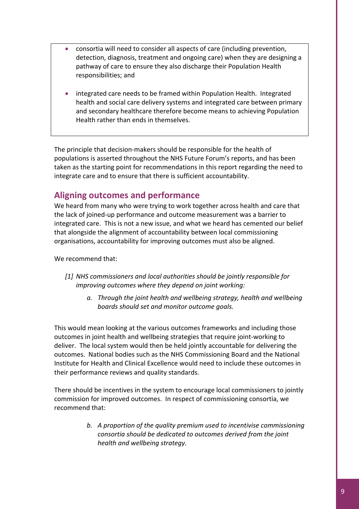- consortia will need to consider all aspects of care (including prevention, detection, diagnosis, treatment and ongoing care) when they are designing a pathway of care to ensure they also discharge their Population Health responsibilities; and
- integrated care needs to be framed within Population Health. Integrated health and social care delivery systems and integrated care between primary and secondary healthcare therefore become means to achieving Population Health rather than ends in themselves.

The principle that decision-makers should be responsible for the health of populations is asserted throughout the NHS Future Forum's reports, and has been taken as the starting point for recommendations in this report regarding the need to integrate care and to ensure that there is sufficient accountability.

# **Aligning outcomes and performance**

We heard from many who were trying to work together across health and care that the lack of joined‐up performance and outcome measurement was a barrier to integrated care. This is not a new issue, and what we heard has cemented our belief that alongside the alignment of accountability between local commissioning organisations, accountability for improving outcomes must also be aligned.

#### We recommend that:

- *[1] NHS commissioners and local authorities should be jointly responsible for improving outcomes where they depend on joint working:*
	- *a. Through the joint health and wellbeing strategy, health and wellbeing boards should set and monitor outcome goals.*

This would mean looking at the various outcomes frameworks and including those outcomes in joint health and wellbeing strategies that require joint‐working to deliver. The local system would then be held jointly accountable for delivering the outcomes. National bodies such as the NHS Commissioning Board and the National Institute for Health and Clinical Excellence would need to include these outcomes in their performance reviews and quality standards.

There should be incentives in the system to encourage local commissioners to jointly commission for improved outcomes. In respect of commissioning consortia, we recommend that:

> *b. A proportion of the quality premium used to incentivise commissioning consortia should be dedicated to outcomes derived from the joint health and wellbeing strategy.*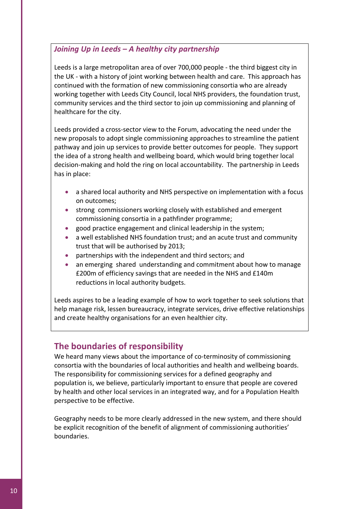### *Joining Up in Leeds – A healthy city partnership*

Leeds is a large metropolitan area of over 700,000 people ‐ the third biggest city in the UK ‐ with a history of joint working between health and care. This approach has continued with the formation of new commissioning consortia who are already working together with Leeds City Council, local NHS providers, the foundation trust, community services and the third sector to join up commissioning and planning of healthcare for the city.

Leeds provided a cross‐sector view to the Forum, advocating the need under the new proposals to adopt single commissioning approaches to streamline the patient pathway and join up services to provide better outcomes for people. They support the idea of a strong health and wellbeing board, which would bring together local decision‐making and hold the ring on local accountability. The partnership in Leeds has in place:

- a shared local authority and NHS perspective on implementation with a focus on outcomes;
- strong commissioners working closely with established and emergent commissioning consortia in a pathfinder programme;
- good practice engagement and clinical leadership in the system;
- a well established NHS foundation trust; and an acute trust and community trust that will be authorised by 2013;
- partnerships with the independent and third sectors; and
- an emerging shared understanding and commitment about how to manage £200m of efficiency savings that are needed in the NHS and £140m reductions in local authority budgets.

Leeds aspires to be a leading example of how to work together to seek solutions that help manage risk, lessen bureaucracy, integrate services, drive effective relationships and create healthy organisations for an even healthier city.

# **The boundaries of responsibility**

We heard many views about the importance of co-terminosity of commissioning consortia with the boundaries of local authorities and health and wellbeing boards. The responsibility for commissioning services for a defined geography and population is, we believe, particularly important to ensure that people are covered by health and other local services in an integrated way, and for a Population Health perspective to be effective.

Geography needs to be more clearly addressed in the new system, and there should be explicit recognition of the benefit of alignment of commissioning authorities' boundaries.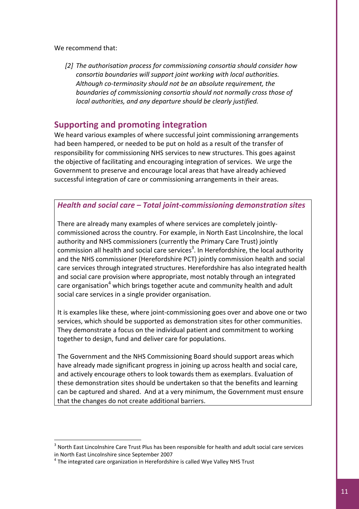We recommend that:

*[2] The authorisation process for commissioning consortia should consider how consortia boundaries will support joint working with local authorities. Although co‐terminosity should not be an absolute requirement, the boundaries of commissioning consortia should not normally cross those of local authorities, and any departure should be clearly justified.*

### **Supporting and promoting integration**

We heard various examples of where successful joint commissioning arrangements had been hampered, or needed to be put on hold as a result of the transfer of responsibility for commissioning NHS services to new structures. This goes against the objective of facilitating and encouraging integration of services. We urge the Government to preserve and encourage local areas that have already achieved successful integration of care or commissioning arrangements in their areas.

#### *Health and social care – Total joint‐commissioning demonstration sites*

There are already many examples of where services are completely jointly‐ commissioned across the country. For example, in North East Lincolnshire, the local authority and NHS commissioners (currently the Primary Care Trust) jointly commission all health and social care services<sup>3</sup>. In Herefordshire, the local authority and the NHS commissioner (Herefordshire PCT) jointly commission health and social care services through integrated structures. Herefordshire has also integrated health and social care provision where appropriate, most notably through an integrated care organisation<sup>[4](#page-10-1)</sup> which brings together acute and community health and adult social care services in a single provider organisation.

It is examples like these, where joint-commissioning goes over and above one or two services, which should be supported as demonstration sites for other communities. They demonstrate a focus on the individual patient and commitment to working together to design, fund and deliver care for populations.

The Government and the NHS Commissioning Board should support areas which have already made significant progress in joining up across health and social care, and actively encourage others to look towards them as exemplars. Evaluation of these demonstration sites should be undertaken so that the benefits and learning can be captured and shared. And at a very minimum, the Government must ensure that the changes do not create additional barriers.

<span id="page-10-0"></span> $3$  North East Lincolnshire Care Trust Plus has been responsible for health and adult social care services in North East Lincolnshire since September 2007<br><sup>4</sup> The integrated care organization in Herefordshire is called Wye Valley NHS Trust

<span id="page-10-1"></span>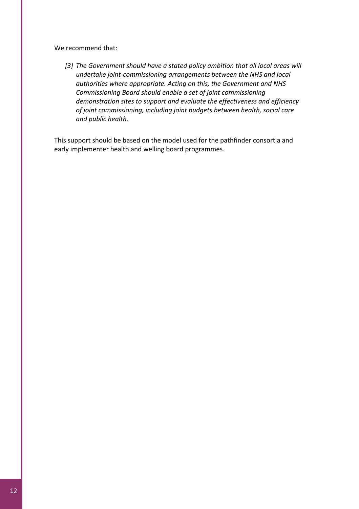We recommend that:

*[3] The Government should have a stated policy ambition that all local areas will undertake joint‐commissioning arrangements between the NHS and local authorities where appropriate. Acting on this, the Government and NHS Commissioning Board should enable a set of joint commissioning demonstration sites to support and evaluate the effectiveness and efficiency of joint commissioning, including joint budgets between health, social care and public health.*

This support should be based on the model used for the pathfinder consortia and early implementer health and welling board programmes.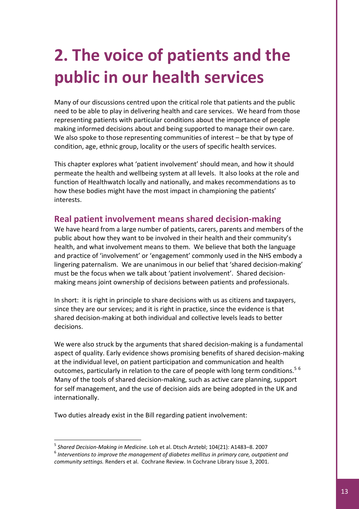# **2. The voice of patients and the public in our health services**

Many of our discussions centred upon the critical role that patients and the public need to be able to play in delivering health and care services. We heard from those representing patients with particular conditions about the importance of people making informed decisions about and being supported to manage their own care. We also spoke to those representing communities of interest – be that by type of condition, age, ethnic group, locality or the users of specific health services.

This chapter explores what 'patient involvement' should mean, and how it should permeate the health and wellbeing system at all levels. It also looks at the role and function of Healthwatch locally and nationally, and makes recommendations as to how these bodies might have the most impact in championing the patients' interests.

# **Real patient involvement means shared decision‐making**

We have heard from a large number of patients, carers, parents and members of the public about how they want to be involved in their health and their community's health, and what involvement means to them. We believe that both the language and practice of 'involvement' or 'engagement' commonly used in the NHS embody a lingering paternalism. We are unanimous in our belief that 'shared decision‐making' must be the focus when we talk about 'patient involvement'. Shared decisionmaking means joint ownership of decisions between patients and professionals.

In short: it is right in principle to share decisions with us as citizens and taxpayers, since they are our services; and it is right in practice, since the evidence is that shared decision‐making at both individual and collective levels leads to better decisions.

We were also struck by the arguments that shared decision-making is a fundamental aspect of quality. Early evidence shows promising benefits of shared decision‐making at the individual level, on patient participation and communication and health outcomes, particularly in relation to the care of people with long term conditions.<sup>[5](#page-12-0)[6](#page-12-1)</sup> Many of the tools of shared decision-making, such as active care planning, support for self management, and the use of decision aids are being adopted in the UK and internationally.

Two duties already exist in the Bill regarding patient involvement:

<span id="page-12-1"></span><span id="page-12-0"></span>

<sup>&</sup>lt;sup>5</sup> Shared Decision-Making in Medicine. Loh et al. Dtsch Arztebl; 104(21): A1483–8. 2007<br><sup>6</sup> Interventions to improve the management of diabetes mellitus in primary care, outpatient and *community settings.* Renders et al. Cochrane Review. In Cochrane Library Issue 3, 2001.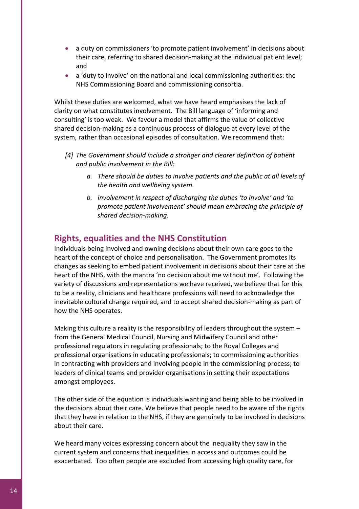- a duty on commissioners 'to promote patient involvement' in decisions about their care, referring to shared decision‐making at the individual patient level; and
- a 'duty to involve' on the national and local commissioning authorities: the NHS Commissioning Board and commissioning consortia.

Whilst these duties are welcomed, what we have heard emphasises the lack of clarity on what constitutes involvement. The Bill language of 'informing and consulting' is too weak. We favour a model that affirms the value of collective shared decision‐making as a continuous process of dialogue at every level of the system, rather than occasional episodes of consultation. We recommend that:

- *[4] The Government should include a stronger and clearer definition of patient and public involvement in the Bill:* 
	- *a. There should be duties to involve patients and the public at all levels of the health and wellbeing system.*
	- *b. involvement in respect of discharging the duties 'to involve' and 'to promote patient involvement' should mean embracing the principle of shared decision‐making.*

# **Rights, equalities and the NHS Constitution**

Individuals being involved and owning decisions about their own care goes to the heart of the concept of choice and personalisation. The Government promotes its changes as seeking to embed patient involvement in decisions about their care at the heart of the NHS, with the mantra 'no decision about me without me'. Following the variety of discussions and representations we have received, we believe that for this to be a reality, clinicians and healthcare professions will need to acknowledge the inevitable cultural change required, and to accept shared decision‐making as part of how the NHS operates.

Making this culture a reality is the responsibility of leaders throughout the system – from the General Medical Council, Nursing and Midwifery Council and other professional regulators in regulating professionals; to the Royal Colleges and professional organisations in educating professionals; to commissioning authorities in contracting with providers and involving people in the commissioning process; to leaders of clinical teams and provider organisations in setting their expectations amongst employees.

The other side of the equation is individuals wanting and being able to be involved in the decisions about their care. We believe that people need to be aware of the rights that they have in relation to the NHS, if they are genuinely to be involved in decisions about their care.

We heard many voices expressing concern about the inequality they saw in the current system and concerns that inequalities in access and outcomes could be exacerbated. Too often people are excluded from accessing high quality care, for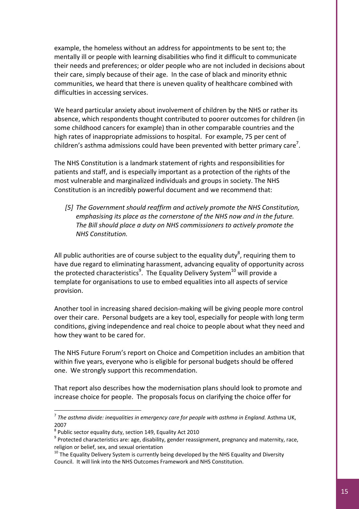example, the homeless without an address for appointments to be sent to; the mentally ill or people with learning disabilities who find it difficult to communicate their needs and preferences; or older people who are not included in decisions about their care, simply because of their age. In the case of black and minority ethnic communities, we heard that there is uneven quality of healthcare combined with difficulties in accessing services.

We heard particular anxiety about involvement of children by the NHS or rather its absence, which respondents thought contributed to poorer outcomes for children (in some childhood cancers for example) than in other comparable countries and the high rates of inappropriate admissions to hospital. For example, 75 per cent of children's asthma admissions could have been prevented with better primary care<sup>[7](#page-14-0)</sup>.

The NHS Constitution is a landmark statement of rights and responsibilities for patients and staff, and is especially important as a protection of the rights of the most vulnerable and marginalized individuals and groups in society. The NHS Constitution is an incredibly powerful document and we recommend that:

*[5] The Government should reaffirm and actively promote the NHS Constitution, emphasising its place as the cornerstone of the NHS now and in the future. The Bill should place a duty on NHS commissioners to actively promote the NHS Constitution.*

All public authorities are of course subject to the equality duty<sup>[8](#page-14-1)</sup>, requiring them to have due regard to eliminating harassment, advancing equality of opportunity across the protected characteristics<sup>9</sup>. The Equality Delivery System<sup>[10](#page-14-3)</sup> will provide a template for organisations to use to embed equalities into all aspects of service provision.

Another tool in increasing shared decision‐making will be giving people more control over their care. Personal budgets are a key tool, especially for people with long term conditions, giving independence and real choice to people about what they need and how they want to be cared for.

The NHS Future Forum's report on Choice and Competition includes an ambition that within five years, everyone who is eligible for personal budgets should be offered one. We strongly support this recommendation.

That report also describes how the modernisation plans should look to promote and increase choice for people. The proposals focus on clarifying the choice offer for

<span id="page-14-0"></span><sup>7</sup> *The asthma divide: inequalities in emergency care for people with asthma in England.* Asthma UK, 2007<br><sup>8</sup> Public sector equality duty, section 149, Equality Act 2010<br><sup>9</sup> Protected characteristics are: age, disability, gender reassignment, pregnancy and maternity, race,

<span id="page-14-1"></span>

<span id="page-14-2"></span>religion or belief, sex, and sexual orientation<br><sup>10</sup> The Equality Delivery System is currently being developed by the NHS Equality and Diversity

<span id="page-14-3"></span>Council. It will link into the NHS Outcomes Framework and NHS Constitution.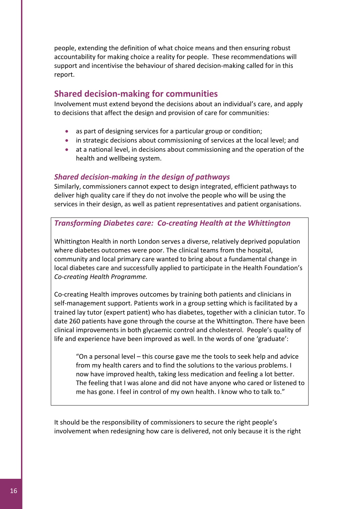people, extending the definition of what choice means and then ensuring robust accountability for making choice a reality for people. These recommendations will support and incentivise the behaviour of shared decision-making called for in this report.

### **Shared decision‐making for communities**

Involvement must extend beyond the decisions about an individual's care, and apply to decisions that affect the design and provision of care for communities:

- as part of designing services for a particular group or condition;
- in strategic decisions about commissioning of services at the local level; and
- at a national level, in decisions about commissioning and the operation of the health and wellbeing system.

#### *Shared decision‐making in the design of pathways*

Similarly, commissioners cannot expect to design integrated, efficient pathways to deliver high quality care if they do not involve the people who will be using the services in their design, as well as patient representatives and patient organisations.

#### *Transforming Diabetes care: Co‐creating Health at the Whittington*

Whittington Health in north London serves a diverse, relatively deprived population where diabetes outcomes were poor. The clinical teams from the hospital, community and local primary care wanted to bring about a fundamental change in local diabetes care and successfully applied to participate in the Health Foundation's *Co‐creating Health Programme.* 

Co‐creating Health improves outcomes by training both patients and clinicians in self‐management support. Patients work in a group setting which is facilitated by a trained lay tutor (expert patient) who has diabetes, together with a clinician tutor. To date 260 patients have gone through the course at the Whittington. There have been clinical improvements in both glycaemic control and cholesterol. People's quality of life and experience have been improved as well. In the words of one 'graduate':

"On a personal level – this course gave me the tools to seek help and advice from my health carers and to find the solutions to the various problems. I now have improved health, taking less medication and feeling a lot better. The feeling that I was alone and did not have anyone who cared or listened to me has gone. I feel in control of my own health. I know who to talk to."

It should be the responsibility of commissioners to secure the right people's involvement when redesigning how care is delivered, not only because it is the right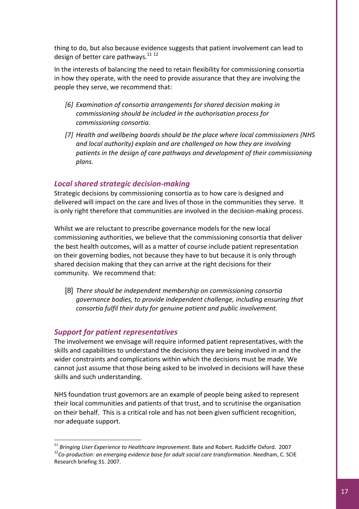thing to do, but also because evidence suggests that patient involvement can lead to design of better care pathways.<sup>[11](#page-16-0) [12](#page-16-1)</sup>

In the interests of balancing the need to retain flexibility for commissioning consortia in how they operate, with the need to provide assurance that they are involving the people they serve, we recommend that:

- *[6] Examination of consortia arrangements for shared decision making in commissioning should be included in the authorisation process for commissioning consortia.*
- *[7] Health and wellbeing boards should be the place where local commissioners (NHS and local authority) explain and are challenged on how they are involving patients in the design of care pathways and development of their commissioning plans.*

#### *Local shared strategic decision‐making*

Strategic decisions by commissioning consortia as to how care is designed and delivered will impact on the care and lives of those in the communities they serve. It is only right therefore that communities are involved in the decision‐making process.

Whilst we are reluctant to prescribe governance models for the new local commissioning authorities, we believe that the commissioning consortia that deliver the best health outcomes, will as a matter of course include patient representation on their governing bodies, not because they have to but because it is only through shared decision making that they can arrive at the right decisions for their community. We recommend that:

[8] *There should be independent membership on commissioning consortia governance bodies, to provide independent challenge, including ensuring that consortia fulfil their duty for genuine patient and public involvement.*

#### *Support for patient representatives*

l

The involvement we envisage will require informed patient representatives, with the skills and capabilities to understand the decisions they are being involved in and the wider constraints and complications within which the decisions must be made. We cannot just assume that those being asked to be involved in decisions will have these skills and such understanding.

NHS foundation trust governors are an example of people being asked to represent their local communities and patients of that trust, and to scrutinise the organisation on their behalf. This is a critical role and has not been given sufficient recognition, nor adequate support.

<span id="page-16-1"></span><span id="page-16-0"></span><sup>&</sup>lt;sup>11</sup> Bringing User Experience to Healthcare Improvement. Bate and Robert. Radcliffe Oxford. 2007<br><sup>12</sup>Co-production: an emerging evidence base for adult social care transformation. Needham, C. SCIE Research briefing 31. 2007.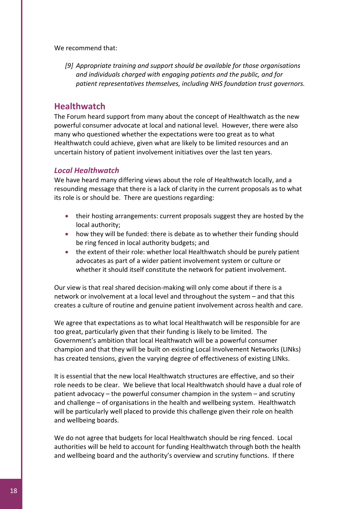We recommend that:

*[9] Appropriate training and support should be available for those organisations and individuals charged with engaging patients and the public, and for patient representatives themselves, including NHS foundation trust governors.*

#### **Healthwatch**

The Forum heard support from many about the concept of Healthwatch as the new powerful consumer advocate at local and national level. However, there were also many who questioned whether the expectations were too great as to what Healthwatch could achieve, given what are likely to be limited resources and an uncertain history of patient involvement initiatives over the last ten years.

#### *Local Healthwatch*

We have heard many differing views about the role of Healthwatch locally, and a resounding message that there is a lack of clarity in the current proposals as to what its role is or should be. There are questions regarding:

- their hosting arrangements: current proposals suggest they are hosted by the local authority;
- how they will be funded: there is debate as to whether their funding should be ring fenced in local authority budgets; and
- the extent of their role: whether local Healthwatch should be purely patient advocates as part of a wider patient involvement system or culture or whether it should itself constitute the network for patient involvement.

Our view is that real shared decision‐making will only come about if there is a network or involvement at a local level and throughout the system – and that this creates a culture of routine and genuine patient involvement across health and care.

We agree that expectations as to what local Healthwatch will be responsible for are too great, particularly given that their funding is likely to be limited. The Government's ambition that local Healthwatch will be a powerful consumer champion and that they will be built on existing Local Involvement Networks (LINks) has created tensions, given the varying degree of effectiveness of existing LINks.

It is essential that the new local Healthwatch structures are effective, and so their role needs to be clear. We believe that local Healthwatch should have a dual role of patient advocacy – the powerful consumer champion in the system – and scrutiny and challenge – of organisations in the health and wellbeing system. Healthwatch will be particularly well placed to provide this challenge given their role on health and wellbeing boards.

We do not agree that budgets for local Healthwatch should be ring fenced. Local authorities will be held to account for funding Healthwatch through both the health and wellbeing board and the authority's overview and scrutiny functions. If there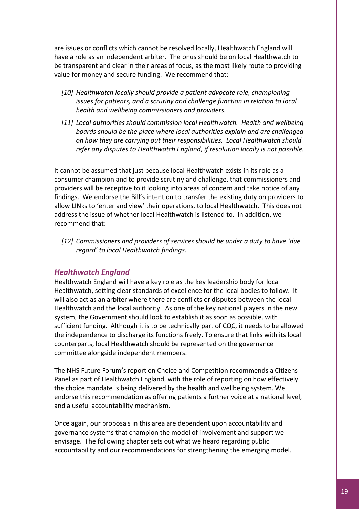are issues or conflicts which cannot be resolved locally, Healthwatch England will have a role as an independent arbiter. The onus should be on local Healthwatch to be transparent and clear in their areas of focus, as the most likely route to providing value for money and secure funding. We recommend that:

- *[10] Healthwatch locally should provide a patient advocate role, championing issues for patients, and a scrutiny and challenge function in relation to local health and wellbeing commissioners and providers.*
- *[11] Local authorities should commission local Healthwatch. Health and wellbeing boards should be the place where local authorities explain and are challenged on how they are carrying out their responsibilities. Local Healthwatch should refer any disputes to Healthwatch England, if resolution locally is not possible.*

It cannot be assumed that just because local Healthwatch exists in its role as a consumer champion and to provide scrutiny and challenge, that commissioners and providers will be receptive to it looking into areas of concern and take notice of any findings. We endorse the Bill's intention to transfer the existing duty on providers to allow LINks to 'enter and view' their operations, to local Healthwatch. This does not address the issue of whether local Healthwatch is listened to. In addition, we recommend that:

*[12] Commissioners and providers of services should be under a duty to have 'due regard' to local Healthwatch findings.*

#### *Healthwatch England*

Healthwatch England will have a key role as the key leadership body for local Healthwatch, setting clear standards of excellence for the local bodies to follow. It will also act as an arbiter where there are conflicts or disputes between the local Healthwatch and the local authority. As one of the key national players in the new system, the Government should look to establish it as soon as possible, with sufficient funding. Although it is to be technically part of CQC, it needs to be allowed the independence to discharge its functions freely. To ensure that links with its local counterparts, local Healthwatch should be represented on the governance committee alongside independent members.

The NHS Future Forum's report on Choice and Competition recommends a Citizens Panel as part of Healthwatch England, with the role of reporting on how effectively the choice mandate is being delivered by the health and wellbeing system. We endorse this recommendation as offering patients a further voice at a national level, and a useful accountability mechanism.

Once again, our proposals in this area are dependent upon accountability and governance systems that champion the model of involvement and support we envisage. The following chapter sets out what we heard regarding public accountability and our recommendations for strengthening the emerging model.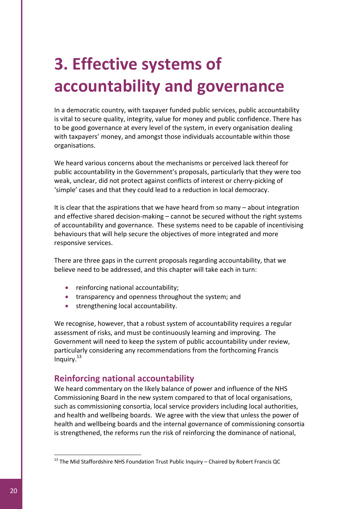# **3. Effective systems of accountability and governance**

In a democratic country, with taxpayer funded public services, public accountability is vital to secure quality, integrity, value for money and public confidence. There has to be good governance at every level of the system, in every organisation dealing with taxpayers' money, and amongst those individuals accountable within those organisations.

We heard various concerns about the mechanisms or perceived lack thereof for public accountability in the Government's proposals, particularly that they were too weak, unclear, did not protect against conflicts of interest or cherry-picking of 'simple' cases and that they could lead to a reduction in local democracy.

It is clear that the aspirations that we have heard from so many – about integration and effective shared decision-making – cannot be secured without the right systems of accountability and governance. These systems need to be capable of incentivising behaviours that will help secure the objectives of more integrated and more responsive services.

There are three gaps in the current proposals regarding accountability, that we believe need to be addressed, and this chapter will take each in turn:

- reinforcing national accountability;
- transparency and openness throughout the system; and
- strengthening local accountability.

We recognise, however, that a robust system of accountability requires a regular assessment of risks, and must be continuously learning and improving. The Government will need to keep the system of public accountability under review, particularly considering any recommendations from the forthcoming Francis Inquiry. $^{13}$  $^{13}$  $^{13}$ 

# **Reinforcing national accountability**

We heard commentary on the likely balance of power and influence of the NHS Commissioning Board in the new system compared to that of local organisations, such as commissioning consortia, local service providers including local authorities, and health and wellbeing boards. We agree with the view that unless the power of health and wellbeing boards and the internal governance of commissioning consortia is strengthened, the reforms run the risk of reinforcing the dominance of national,

<span id="page-19-0"></span> $13$  The Mid Staffordshire NHS Foundation Trust Public Inquiry – Chaired by Robert Francis QC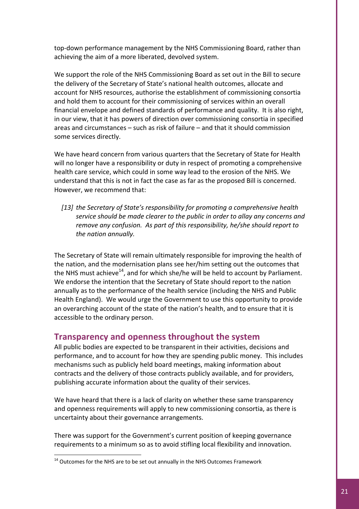top‐down performance management by the NHS Commissioning Board, rather than achieving the aim of a more liberated, devolved system.

We support the role of the NHS Commissioning Board as set out in the Bill to secure the delivery of the Secretary of State's national health outcomes, allocate and account for NHS resources, authorise the establishment of commissioning consortia and hold them to account for their commissioning of services within an overall financial envelope and defined standards of performance and quality. It is also right, in our view, that it has powers of direction over commissioning consortia in specified areas and circumstances – such as risk of failure – and that it should commission some services directly.

We have heard concern from various quarters that the Secretary of State for Health will no longer have a responsibility or duty in respect of promoting a comprehensive health care service, which could in some way lead to the erosion of the NHS. We understand that this is not in fact the case as far as the proposed Bill is concerned. However, we recommend that:

*[13] the Secretary of State's responsibility for promoting a comprehensive health service should be made clearer to the public in order to allay any concerns and remove any confusion. As part of this responsibility, he/she should report to the nation annually.*

The Secretary of State will remain ultimately responsible for improving the health of the nation, and the modernisation plans see her/him setting out the outcomes that the NHS must achieve<sup>14</sup>, and for which she/he will be held to account by Parliament. We endorse the intention that the Secretary of State should report to the nation annually as to the performance of the health service (including the NHS and Public Health England). We would urge the Government to use this opportunity to provide an overarching account of the state of the nation's health, and to ensure that it is accessible to the ordinary person.

# **Transparency and openness throughout the system**

All public bodies are expected to be transparent in their activities, decisions and performance, and to account for how they are spending public money. This includes mechanisms such as publicly held board meetings, making information about contracts and the delivery of those contracts publicly available, and for providers, publishing accurate information about the quality of their services.

We have heard that there is a lack of clarity on whether these same transparency and openness requirements will apply to new commissioning consortia, as there is uncertainty about their governance arrangements.

There was support for the Government's current position of keeping governance requirements to a minimum so as to avoid stifling local flexibility and innovation.

<span id="page-20-0"></span> $14$  Outcomes for the NHS are to be set out annually in the NHS Outcomes Framework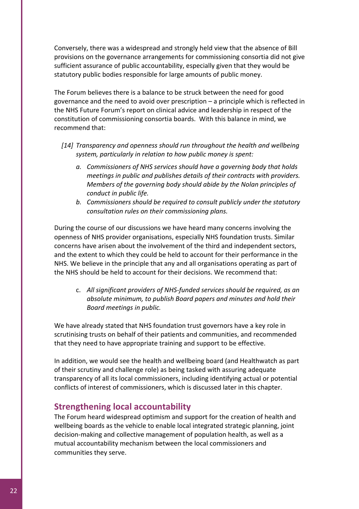Conversely, there was a widespread and strongly held view that the absence of Bill provisions on the governance arrangements for commissioning consortia did not give sufficient assurance of public accountability, especially given that they would be statutory public bodies responsible for large amounts of public money.

The Forum believes there is a balance to be struck between the need for good governance and the need to avoid over prescription – a principle which is reflected in the NHS Future Forum's report on clinical advice and leadership in respect of the constitution of commissioning consortia boards. With this balance in mind, we recommend that:

- *[14] Transparency and openness should run throughout the health and wellbeing system, particularly in relation to how public money is spent:* 
	- *a. Commissioners of NHS services should have a governing body that holds meetings in public and publishes details of their contracts with providers. Members of the governing body should abide by the Nolan principles of conduct in public life.*
	- *b. Commissioners should be required to consult publicly under the statutory consultation rules on their commissioning plans.*

During the course of our discussions we have heard many concerns involving the openness of NHS provider organisations, especially NHS foundation trusts. Similar concerns have arisen about the involvement of the third and independent sectors, and the extent to which they could be held to account for their performance in the NHS. We believe in the principle that any and all organisations operating as part of the NHS should be held to account for their decisions. We recommend that:

c. *All significant providers of NHS‐funded services should be required, as an absolute minimum, to publish Board papers and minutes and hold their Board meetings in public.* 

We have already stated that NHS foundation trust governors have a key role in scrutinising trusts on behalf of their patients and communities, and recommended that they need to have appropriate training and support to be effective.

In addition, we would see the health and wellbeing board (and Healthwatch as part of their scrutiny and challenge role) as being tasked with assuring adequate transparency of all its local commissioners, including identifying actual or potential conflicts of interest of commissioners, which is discussed later in this chapter.

# **Strengthening local accountability**

The Forum heard widespread optimism and support for the creation of health and wellbeing boards as the vehicle to enable local integrated strategic planning, joint decision‐making and collective management of population health, as well as a mutual accountability mechanism between the local commissioners and communities they serve.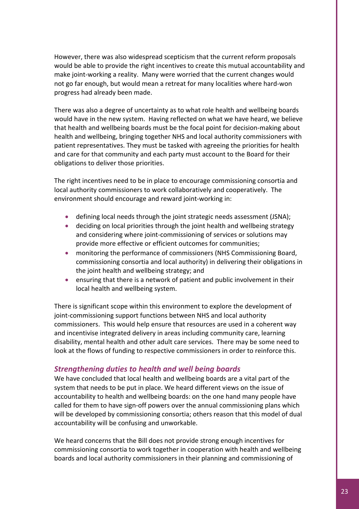However, there was also widespread scepticism that the current reform proposals would be able to provide the right incentives to create this mutual accountability and make joint-working a reality. Many were worried that the current changes would not go far enough, but would mean a retreat for many localities where hard‐won progress had already been made.

There was also a degree of uncertainty as to what role health and wellbeing boards would have in the new system. Having reflected on what we have heard, we believe that health and wellbeing boards must be the focal point for decision‐making about health and wellbeing, bringing together NHS and local authority commissioners with patient representatives. They must be tasked with agreeing the priorities for health and care for that community and each party must account to the Board for their obligations to deliver those priorities.

The right incentives need to be in place to encourage commissioning consortia and local authority commissioners to work collaboratively and cooperatively. The environment should encourage and reward joint‐working in:

- defining local needs through the joint strategic needs assessment (JSNA);
- deciding on local priorities through the joint health and wellbeing strategy and considering where joint-commissioning of services or solutions may provide more effective or efficient outcomes for communities;
- monitoring the performance of commissioners (NHS Commissioning Board, commissioning consortia and local authority) in delivering their obligations in the joint health and wellbeing strategy; and
- ensuring that there is a network of patient and public involvement in their local health and wellbeing system.

There is significant scope within this environment to explore the development of joint-commissioning support functions between NHS and local authority commissioners. This would help ensure that resources are used in a coherent way and incentivise integrated delivery in areas including community care, learning disability, mental health and other adult care services. There may be some need to look at the flows of funding to respective commissioners in order to reinforce this.

### *Strengthening duties to health and well being boards*

We have concluded that local health and wellbeing boards are a vital part of the system that needs to be put in place. We heard different views on the issue of accountability to health and wellbeing boards: on the one hand many people have called for them to have sign-off powers over the annual commissioning plans which will be developed by commissioning consortia; others reason that this model of dual accountability will be confusing and unworkable.

We heard concerns that the Bill does not provide strong enough incentives for commissioning consortia to work together in cooperation with health and wellbeing boards and local authority commissioners in their planning and commissioning of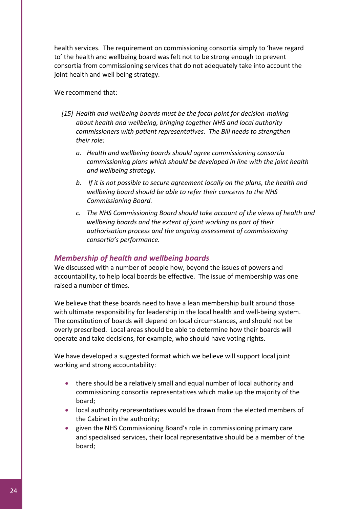health services. The requirement on commissioning consortia simply to 'have regard to' the health and wellbeing board was felt not to be strong enough to prevent consortia from commissioning services that do not adequately take into account the joint health and well being strategy.

#### We recommend that:

- *[15] Health and wellbeing boards must be the focal point for decision‐making about health and wellbeing, bringing together NHS and local authority commissioners with patient representatives. The Bill needs to strengthen their role:* 
	- *a. Health and wellbeing boards should agree commissioning consortia commissioning plans which should be developed in line with the joint health and wellbeing strategy.*
	- *b. If it is not possible to secure agreement locally on the plans, the health and wellbeing board should be able to refer their concerns to the NHS Commissioning Board.*
	- *c. The NHS Commissioning Board should take account of the views of health and wellbeing boards and the extent of joint working as part of their authorisation process and the ongoing assessment of commissioning consortia's performance.*

#### *Membership of health and wellbeing boards*

We discussed with a number of people how, beyond the issues of powers and accountability, to help local boards be effective. The issue of membership was one raised a number of times.

We believe that these boards need to have a lean membership built around those with ultimate responsibility for leadership in the local health and well-being system. The constitution of boards will depend on local circumstances, and should not be overly prescribed. Local areas should be able to determine how their boards will operate and take decisions, for example, who should have voting rights.

We have developed a suggested format which we believe will support local joint working and strong accountability:

- there should be a relatively small and equal number of local authority and commissioning consortia representatives which make up the majority of the board;
- local authority representatives would be drawn from the elected members of the Cabinet in the authority;
- given the NHS Commissioning Board's role in commissioning primary care and specialised services, their local representative should be a member of the board;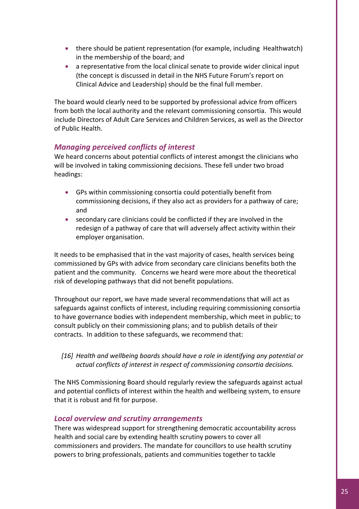- there should be patient representation (for example, including Healthwatch) in the membership of the board; and
- a representative from the local clinical senate to provide wider clinical input (the concept is discussed in detail in the NHS Future Forum's report on Clinical Advice and Leadership) should be the final full member.

The board would clearly need to be supported by professional advice from officers from both the local authority and the relevant commissioning consortia. This would include Directors of Adult Care Services and Children Services, as well as the Director of Public Health.

### *Managing perceived conflicts of interest*

We heard concerns about potential conflicts of interest amongst the clinicians who will be involved in taking commissioning decisions. These fell under two broad headings:

- GPs within commissioning consortia could potentially benefit from commissioning decisions, if they also act as providers for a pathway of care; and
- secondary care clinicians could be conflicted if they are involved in the redesign of a pathway of care that will adversely affect activity within their employer organisation.

It needs to be emphasised that in the vast majority of cases, health services being commissioned by GPs with advice from secondary care clinicians benefits both the patient and the community. Concerns we heard were more about the theoretical risk of developing pathways that did not benefit populations.

Throughout our report, we have made several recommendations that will act as safeguards against conflicts of interest, including requiring commissioning consortia to have governance bodies with independent membership, which meet in public; to consult publicly on their commissioning plans; and to publish details of their contracts. In addition to these safeguards, we recommend that:

*[16] Health and wellbeing boards should have a role in identifying any potential or actual conflicts of interest in respect of commissioning consortia decisions.* 

The NHS Commissioning Board should regularly review the safeguards against actual and potential conflicts of interest within the health and wellbeing system, to ensure that it is robust and fit for purpose.

### *Local overview and scrutiny arrangements*

There was widespread support for strengthening democratic accountability across health and social care by extending health scrutiny powers to cover all commissioners and providers. The mandate for councillors to use health scrutiny powers to bring professionals, patients and communities together to tackle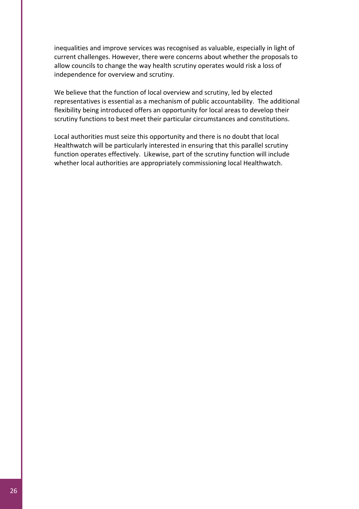inequalities and improve services was recognised as valuable, especially in light of current challenges. However, there were concerns about whether the proposals to allow councils to change the way health scrutiny operates would risk a loss of independence for overview and scrutiny.

We believe that the function of local overview and scrutiny, led by elected representatives is essential as a mechanism of public accountability. The additional flexibility being introduced offers an opportunity for local areas to develop their scrutiny functions to best meet their particular circumstances and constitutions.

Local authorities must seize this opportunity and there is no doubt that local Healthwatch will be particularly interested in ensuring that this parallel scrutiny function operates effectively. Likewise, part of the scrutiny function will include whether local authorities are appropriately commissioning local Healthwatch.